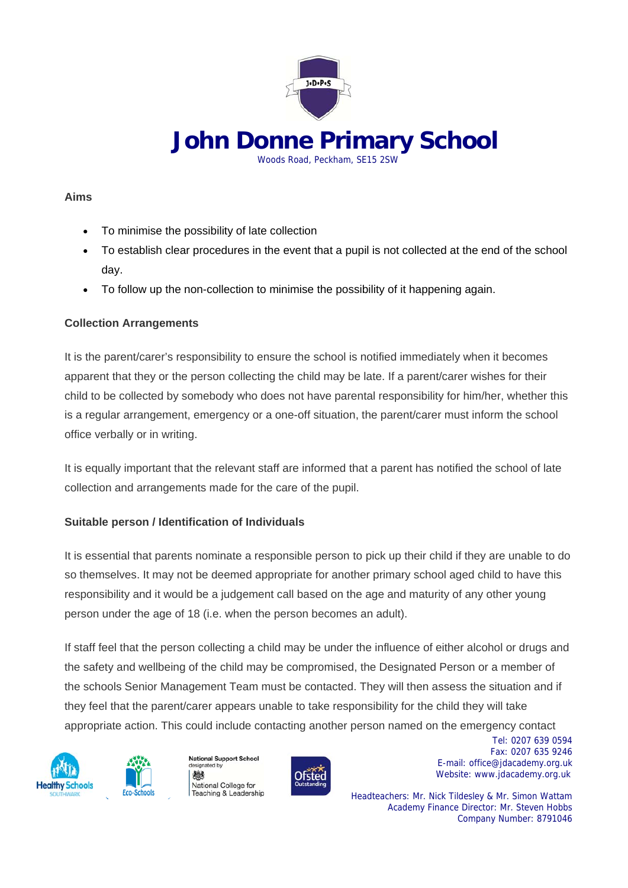

 **John Donne Primary School** Woods Road, Peckham, SE15 2SW

## **Aims**

- To minimise the possibility of late collection
- To establish clear procedures in the event that a pupil is not collected at the end of the school day.
- To follow up the non-collection to minimise the possibility of it happening again.

# **Collection Arrangements**

It is the parent/carer's responsibility to ensure the school is notified immediately when it becomes apparent that they or the person collecting the child may be late. If a parent/carer wishes for their child to be collected by somebody who does not have parental responsibility for him/her, whether this is a regular arrangement, emergency or a one-off situation, the parent/carer must inform the school office verbally or in writing.

It is equally important that the relevant staff are informed that a parent has notified the school of late collection and arrangements made for the care of the pupil.

# **Suitable person / Identification of Individuals**

It is essential that parents nominate a responsible person to pick up their child if they are unable to do so themselves. It may not be deemed appropriate for another primary school aged child to have this responsibility and it would be a judgement call based on the age and maturity of any other young person under the age of 18 (i.e. when the person becomes an adult).

If staff feel that the person collecting a child may be under the influence of either alcohol or drugs and the safety and wellbeing of the child may be compromised, the Designated Person or a member of the schools Senior Management Team must be contacted. They will then assess the situation and if they feel that the parent/carer appears unable to take responsibility for the child they will take appropriate action. This could include contacting another person named on the emergency contact





designated by 戀 National College for Teaching & Leadership

**National Support School** 



 Tel: 0207 639 0594 Fax: 0207 635 9246 E-mail: office@jdacademy.org.uk Ofsted Website: www.jdacademy.org.uk

> Headteachers: Mr. Nick Tildesley & Mr. Simon Wattam Academy Finance Director: Mr. Steven Hobbs Company Number: 8791046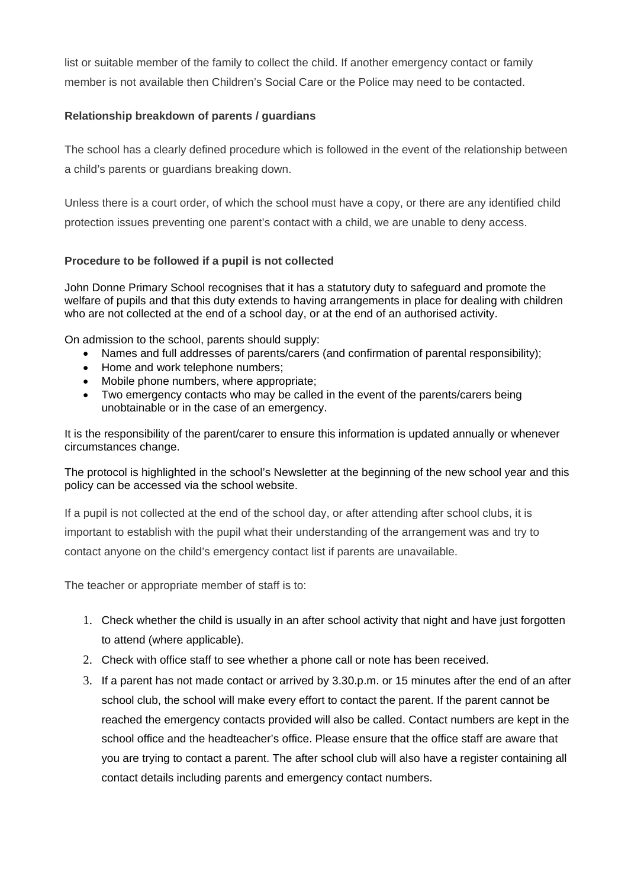list or suitable member of the family to collect the child. If another emergency contact or family member is not available then Children's Social Care or the Police may need to be contacted.

### **Relationship breakdown of parents / guardians**

The school has a clearly defined procedure which is followed in the event of the relationship between a child's parents or guardians breaking down.

Unless there is a court order, of which the school must have a copy, or there are any identified child protection issues preventing one parent's contact with a child, we are unable to deny access.

### **Procedure to be followed if a pupil is not collected**

John Donne Primary School recognises that it has a statutory duty to safeguard and promote the welfare of pupils and that this duty extends to having arrangements in place for dealing with children who are not collected at the end of a school day, or at the end of an authorised activity.

On admission to the school, parents should supply:

- Names and full addresses of parents/carers (and confirmation of parental responsibility);
- Home and work telephone numbers:
- Mobile phone numbers, where appropriate;
- Two emergency contacts who may be called in the event of the parents/carers being unobtainable or in the case of an emergency.

It is the responsibility of the parent/carer to ensure this information is updated annually or whenever circumstances change.

The protocol is highlighted in the school's Newsletter at the beginning of the new school year and this policy can be accessed via the school website.

If a pupil is not collected at the end of the school day, or after attending after school clubs, it is important to establish with the pupil what their understanding of the arrangement was and try to contact anyone on the child's emergency contact list if parents are unavailable.

The teacher or appropriate member of staff is to:

- 1. Check whether the child is usually in an after school activity that night and have just forgotten to attend (where applicable).
- 2. Check with office staff to see whether a phone call or note has been received.
- 3. If a parent has not made contact or arrived by 3.30.p.m. or 15 minutes after the end of an after school club, the school will make every effort to contact the parent. If the parent cannot be reached the emergency contacts provided will also be called. Contact numbers are kept in the school office and the headteacher's office. Please ensure that the office staff are aware that you are trying to contact a parent. The after school club will also have a register containing all contact details including parents and emergency contact numbers.